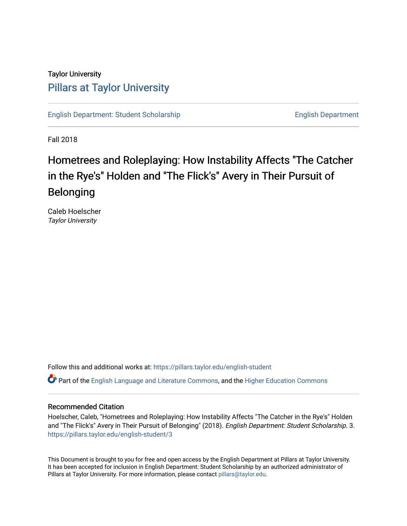## Taylor University [Pillars at Taylor University](https://pillars.taylor.edu/)

[English Department: Student Scholarship](https://pillars.taylor.edu/english-student) English Department

Fall 2018

# Hometrees and Roleplaying: How Instability Affects "The Catcher in the Rye's" Holden and "The Flick's" Avery in Their Pursuit of Belonging

Caleb Hoelscher Taylor University

Follow this and additional works at: [https://pillars.taylor.edu/english-student](https://pillars.taylor.edu/english-student?utm_source=pillars.taylor.edu%2Fenglish-student%2F3&utm_medium=PDF&utm_campaign=PDFCoverPages) 

Part of the [English Language and Literature Commons](http://network.bepress.com/hgg/discipline/455?utm_source=pillars.taylor.edu%2Fenglish-student%2F3&utm_medium=PDF&utm_campaign=PDFCoverPages), and the [Higher Education Commons](http://network.bepress.com/hgg/discipline/1245?utm_source=pillars.taylor.edu%2Fenglish-student%2F3&utm_medium=PDF&utm_campaign=PDFCoverPages)

### Recommended Citation

Hoelscher, Caleb, "Hometrees and Roleplaying: How Instability Affects "The Catcher in the Rye's" Holden and "The Flick's" Avery in Their Pursuit of Belonging" (2018). English Department: Student Scholarship. 3. [https://pillars.taylor.edu/english-student/3](https://pillars.taylor.edu/english-student/3?utm_source=pillars.taylor.edu%2Fenglish-student%2F3&utm_medium=PDF&utm_campaign=PDFCoverPages)

This Document is brought to you for free and open access by the English Department at Pillars at Taylor University. It has been accepted for inclusion in English Department: Student Scholarship by an authorized administrator of Pillars at Taylor University. For more information, please contact [pillars@taylor.edu.](mailto:pillars@taylor.edu)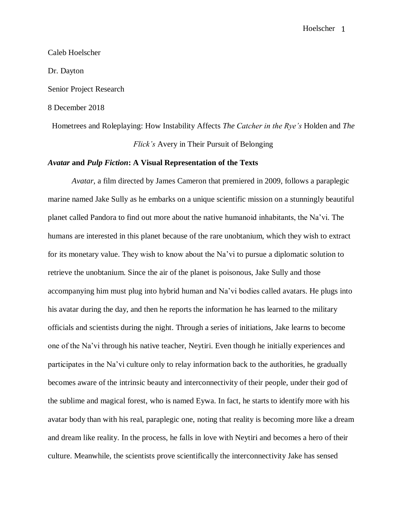# Caleb Hoelscher Dr. Dayton Senior Project Research 8 December 2018

Hometrees and Roleplaying: How Instability Affects *The Catcher in the Rye's* Holden and *The Flick's* Avery in Their Pursuit of Belonging

### *Avatar* **and** *Pulp Fiction***: A Visual Representation of the Texts**

*Avatar*, a film directed by James Cameron that premiered in 2009, follows a paraplegic marine named Jake Sully as he embarks on a unique scientific mission on a stunningly beautiful planet called Pandora to find out more about the native humanoid inhabitants, the Na'vi. The humans are interested in this planet because of the rare unobtanium, which they wish to extract for its monetary value. They wish to know about the Na'vi to pursue a diplomatic solution to retrieve the unobtanium. Since the air of the planet is poisonous, Jake Sully and those accompanying him must plug into hybrid human and Na'vi bodies called avatars. He plugs into his avatar during the day, and then he reports the information he has learned to the military officials and scientists during the night. Through a series of initiations, Jake learns to become one of the Na'vi through his native teacher, Neytiri. Even though he initially experiences and participates in the Na'vi culture only to relay information back to the authorities, he gradually becomes aware of the intrinsic beauty and interconnectivity of their people, under their god of the sublime and magical forest, who is named Eywa. In fact, he starts to identify more with his avatar body than with his real, paraplegic one, noting that reality is becoming more like a dream and dream like reality. In the process, he falls in love with Neytiri and becomes a hero of their culture. Meanwhile, the scientists prove scientifically the interconnectivity Jake has sensed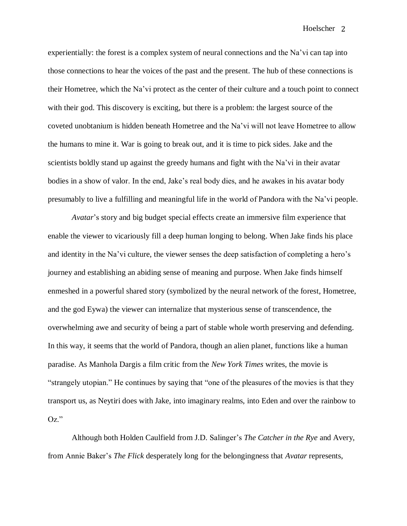experientially: the forest is a complex system of neural connections and the Na'vi can tap into those connections to hear the voices of the past and the present. The hub of these connections is their Hometree, which the Na'vi protect as the center of their culture and a touch point to connect with their god. This discovery is exciting, but there is a problem: the largest source of the coveted unobtanium is hidden beneath Hometree and the Na'vi will not leave Hometree to allow the humans to mine it. War is going to break out, and it is time to pick sides. Jake and the scientists boldly stand up against the greedy humans and fight with the Na'vi in their avatar bodies in a show of valor. In the end, Jake's real body dies, and he awakes in his avatar body presumably to live a fulfilling and meaningful life in the world of Pandora with the Na'vi people.

*Avatar*'s story and big budget special effects create an immersive film experience that enable the viewer to vicariously fill a deep human longing to belong. When Jake finds his place and identity in the Na'vi culture, the viewer senses the deep satisfaction of completing a hero's journey and establishing an abiding sense of meaning and purpose. When Jake finds himself enmeshed in a powerful shared story (symbolized by the neural network of the forest, Hometree, and the god Eywa) the viewer can internalize that mysterious sense of transcendence, the overwhelming awe and security of being a part of stable whole worth preserving and defending. In this way, it seems that the world of Pandora, though an alien planet, functions like a human paradise. As Manhola Dargis a film critic from the *New York Times* writes, the movie is "strangely utopian." He continues by saying that "one of the pleasures of the movies is that they transport us, as Neytiri does with Jake, into imaginary realms, into Eden and over the rainbow to Oz."

Although both Holden Caulfield from J.D. Salinger's *The Catcher in the Rye* and Avery, from Annie Baker's *The Flick* desperately long for the belongingness that *Avatar* represents,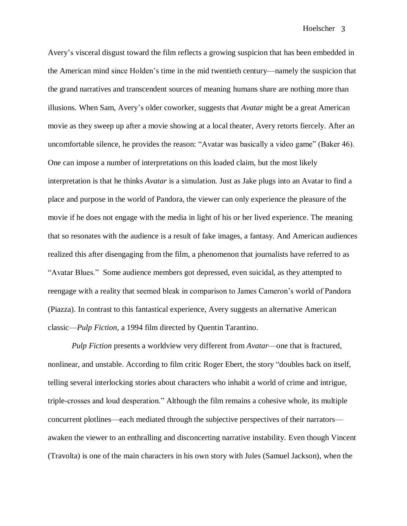Avery's visceral disgust toward the film reflects a growing suspicion that has been embedded in the American mind since Holden's time in the mid twentieth century—namely the suspicion that the grand narratives and transcendent sources of meaning humans share are nothing more than illusions. When Sam, Avery's older coworker, suggests that *Avatar* might be a great American movie as they sweep up after a movie showing at a local theater, Avery retorts fiercely. After an uncomfortable silence, he provides the reason: "Avatar was basically a video game" (Baker 46). One can impose a number of interpretations on this loaded claim, but the most likely interpretation is that he thinks *Avatar* is a simulation. Just as Jake plugs into an Avatar to find a place and purpose in the world of Pandora, the viewer can only experience the pleasure of the movie if he does not engage with the media in light of his or her lived experience. The meaning that so resonates with the audience is a result of fake images, a fantasy. And American audiences realized this after disengaging from the film, a phenomenon that journalists have referred to as "Avatar Blues." Some audience members got depressed, even suicidal, as they attempted to reengage with a reality that seemed bleak in comparison to James Cameron's world of Pandora (Piazza). In contrast to this fantastical experience, Avery suggests an alternative American classic—*Pulp Fiction*, a 1994 film directed by Quentin Tarantino.

*Pulp Fiction* presents a worldview very different from *Avatar*—one that is fractured, nonlinear, and unstable. According to film critic Roger Ebert, the story "doubles back on itself, telling several interlocking stories about characters who inhabit a world of crime and intrigue, triple-crosses and loud desperation." Although the film remains a cohesive whole, its multiple concurrent plotlines—each mediated through the subjective perspectives of their narrators awaken the viewer to an enthralling and disconcerting narrative instability. Even though Vincent (Travolta) is one of the main characters in his own story with Jules (Samuel Jackson), when the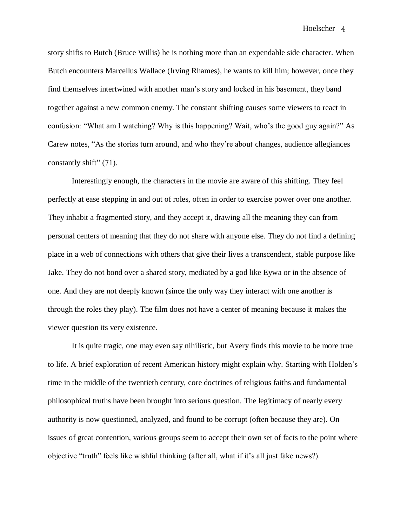story shifts to Butch (Bruce Willis) he is nothing more than an expendable side character. When Butch encounters Marcellus Wallace (Irving Rhames), he wants to kill him; however, once they find themselves intertwined with another man's story and locked in his basement, they band together against a new common enemy. The constant shifting causes some viewers to react in confusion: "What am I watching? Why is this happening? Wait, who's the good guy again?" As Carew notes, "As the stories turn around, and who they're about changes, audience allegiances constantly shift" (71).

Interestingly enough, the characters in the movie are aware of this shifting. They feel perfectly at ease stepping in and out of roles, often in order to exercise power over one another. They inhabit a fragmented story, and they accept it, drawing all the meaning they can from personal centers of meaning that they do not share with anyone else. They do not find a defining place in a web of connections with others that give their lives a transcendent, stable purpose like Jake. They do not bond over a shared story, mediated by a god like Eywa or in the absence of one. And they are not deeply known (since the only way they interact with one another is through the roles they play). The film does not have a center of meaning because it makes the viewer question its very existence.

It is quite tragic, one may even say nihilistic, but Avery finds this movie to be more true to life. A brief exploration of recent American history might explain why. Starting with Holden's time in the middle of the twentieth century, core doctrines of religious faiths and fundamental philosophical truths have been brought into serious question. The legitimacy of nearly every authority is now questioned, analyzed, and found to be corrupt (often because they are). On issues of great contention, various groups seem to accept their own set of facts to the point where objective "truth" feels like wishful thinking (after all, what if it's all just fake news?).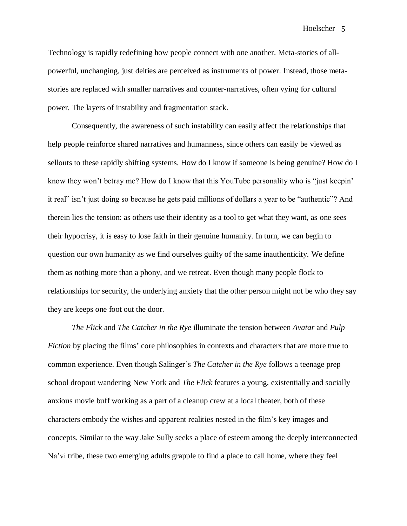Technology is rapidly redefining how people connect with one another. Meta-stories of allpowerful, unchanging, just deities are perceived as instruments of power. Instead, those metastories are replaced with smaller narratives and counter-narratives, often vying for cultural power. The layers of instability and fragmentation stack.

Consequently, the awareness of such instability can easily affect the relationships that help people reinforce shared narratives and humanness, since others can easily be viewed as sellouts to these rapidly shifting systems. How do I know if someone is being genuine? How do I know they won't betray me? How do I know that this YouTube personality who is "just keepin' it real" isn't just doing so because he gets paid millions of dollars a year to be "authentic"? And therein lies the tension: as others use their identity as a tool to get what they want, as one sees their hypocrisy, it is easy to lose faith in their genuine humanity. In turn, we can begin to question our own humanity as we find ourselves guilty of the same inauthenticity. We define them as nothing more than a phony, and we retreat. Even though many people flock to relationships for security, the underlying anxiety that the other person might not be who they say they are keeps one foot out the door.

*The Flick* and *The Catcher in the Rye* illuminate the tension between *Avatar* and *Pulp Fiction* by placing the films' core philosophies in contexts and characters that are more true to common experience. Even though Salinger's *The Catcher in the Rye* follows a teenage prep school dropout wandering New York and *The Flick* features a young, existentially and socially anxious movie buff working as a part of a cleanup crew at a local theater, both of these characters embody the wishes and apparent realities nested in the film's key images and concepts. Similar to the way Jake Sully seeks a place of esteem among the deeply interconnected Na'vi tribe, these two emerging adults grapple to find a place to call home, where they feel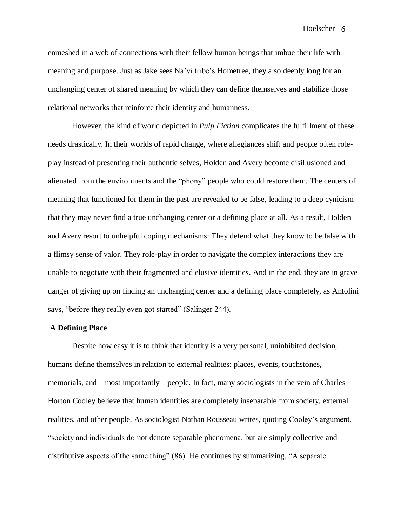enmeshed in a web of connections with their fellow human beings that imbue their life with meaning and purpose. Just as Jake sees Na'vi tribe's Hometree, they also deeply long for an unchanging center of shared meaning by which they can define themselves and stabilize those relational networks that reinforce their identity and humanness.

However, the kind of world depicted in *Pulp Fiction* complicates the fulfillment of these needs drastically. In their worlds of rapid change, where allegiances shift and people often roleplay instead of presenting their authentic selves, Holden and Avery become disillusioned and alienated from the environments and the "phony" people who could restore them. The centers of meaning that functioned for them in the past are revealed to be false, leading to a deep cynicism that they may never find a true unchanging center or a defining place at all. As a result, Holden and Avery resort to unhelpful coping mechanisms: They defend what they know to be false with a flimsy sense of valor. They role-play in order to navigate the complex interactions they are unable to negotiate with their fragmented and elusive identities. And in the end, they are in grave danger of giving up on finding an unchanging center and a defining place completely, as Antolini says, "before they really even got started" (Salinger 244).

#### **A Defining Place**

Despite how easy it is to think that identity is a very personal, uninhibited decision, humans define themselves in relation to external realities: places, events, touchstones, memorials, and—most importantly—people. In fact, many sociologists in the vein of Charles Horton Cooley believe that human identities are completely inseparable from society, external realities, and other people. As sociologist Nathan Rousseau writes, quoting Cooley's argument, "society and individuals do not denote separable phenomena, but are simply collective and distributive aspects of the same thing" (86). He continues by summarizing, "A separate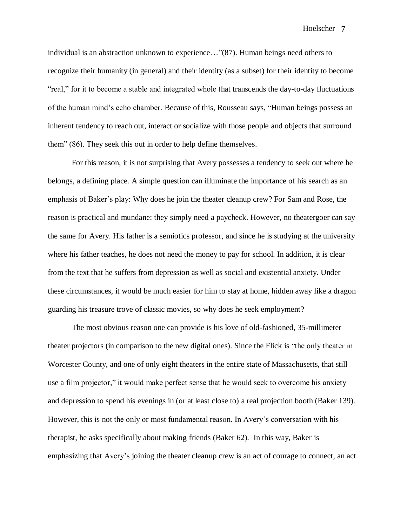individual is an abstraction unknown to experience…"(87). Human beings need others to recognize their humanity (in general) and their identity (as a subset) for their identity to become "real," for it to become a stable and integrated whole that transcends the day-to-day fluctuations of the human mind's echo chamber. Because of this, Rousseau says, "Human beings possess an inherent tendency to reach out, interact or socialize with those people and objects that surround them" (86). They seek this out in order to help define themselves.

For this reason, it is not surprising that Avery possesses a tendency to seek out where he belongs, a defining place*.* A simple question can illuminate the importance of his search as an emphasis of Baker's play: Why does he join the theater cleanup crew? For Sam and Rose, the reason is practical and mundane: they simply need a paycheck. However, no theatergoer can say the same for Avery. His father is a semiotics professor, and since he is studying at the university where his father teaches, he does not need the money to pay for school. In addition, it is clear from the text that he suffers from depression as well as social and existential anxiety. Under these circumstances, it would be much easier for him to stay at home, hidden away like a dragon guarding his treasure trove of classic movies, so why does he seek employment?

The most obvious reason one can provide is his love of old-fashioned, 35-millimeter theater projectors (in comparison to the new digital ones). Since the Flick is "the only theater in Worcester County, and one of only eight theaters in the entire state of Massachusetts, that still use a film projector," it would make perfect sense that he would seek to overcome his anxiety and depression to spend his evenings in (or at least close to) a real projection booth (Baker 139). However, this is not the only or most fundamental reason. In Avery's conversation with his therapist, he asks specifically about making friends (Baker 62). In this way, Baker is emphasizing that Avery's joining the theater cleanup crew is an act of courage to connect, an act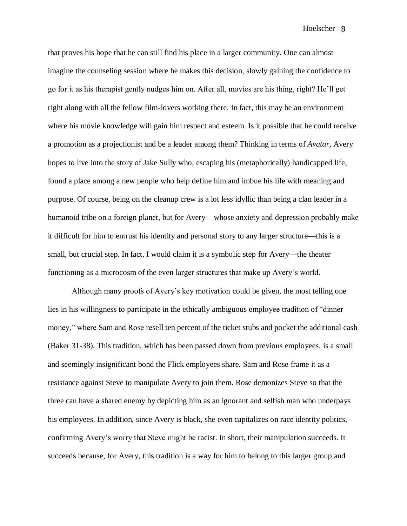that proves his hope that he can still find his place in a larger community. One can almost imagine the counseling session where he makes this decision, slowly gaining the confidence to go for it as his therapist gently nudges him on. After all, movies are his thing, right? He'll get right along with all the fellow film-lovers working there. In fact, this may be an environment where his movie knowledge will gain him respect and esteem. Is it possible that he could receive a promotion as a projectionist and be a leader among them? Thinking in terms of *Avatar*, Avery hopes to live into the story of Jake Sully who, escaping his (metaphorically) handicapped life, found a place among a new people who help define him and imbue his life with meaning and purpose. Of course, being on the cleanup crew is a lot less idyllic than being a clan leader in a humanoid tribe on a foreign planet, but for Avery—whose anxiety and depression probably make it difficult for him to entrust his identity and personal story to any larger structure—this is a small, but crucial step. In fact, I would claim it is a symbolic step for Avery—the theater functioning as a microcosm of the even larger structures that make up Avery's world.

Although many proofs of Avery's key motivation could be given, the most telling one lies in his willingness to participate in the ethically ambiguous employee tradition of "dinner money," where Sam and Rose resell ten percent of the ticket stubs and pocket the additional cash (Baker 31-38). This tradition, which has been passed down from previous employees, is a small and seemingly insignificant bond the Flick employees share. Sam and Rose frame it as a resistance against Steve to manipulate Avery to join them. Rose demonizes Steve so that the three can have a shared enemy by depicting him as an ignorant and selfish man who underpays his employees. In addition, since Avery is black, she even capitalizes on race identity politics, confirming Avery's worry that Steve might be racist. In short, their manipulation succeeds. It succeeds because, for Avery, this tradition is a way for him to belong to this larger group and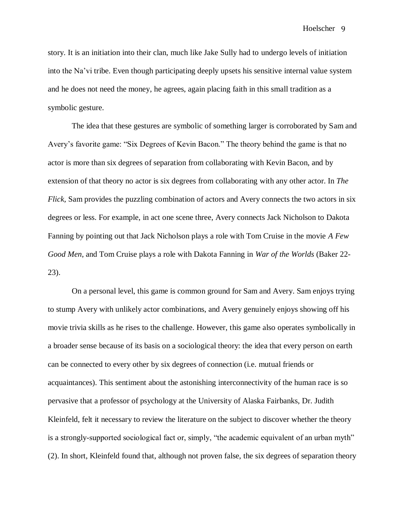story. It is an initiation into their clan, much like Jake Sully had to undergo levels of initiation into the Na'vi tribe. Even though participating deeply upsets his sensitive internal value system and he does not need the money, he agrees, again placing faith in this small tradition as a symbolic gesture.

The idea that these gestures are symbolic of something larger is corroborated by Sam and Avery's favorite game: "Six Degrees of Kevin Bacon." The theory behind the game is that no actor is more than six degrees of separation from collaborating with Kevin Bacon, and by extension of that theory no actor is six degrees from collaborating with any other actor. In *The Flick*, Sam provides the puzzling combination of actors and Avery connects the two actors in six degrees or less. For example, in act one scene three, Avery connects Jack Nicholson to Dakota Fanning by pointing out that Jack Nicholson plays a role with Tom Cruise in the movie *A Few Good Men*, and Tom Cruise plays a role with Dakota Fanning in *War of the Worlds* (Baker 22- 23).

On a personal level, this game is common ground for Sam and Avery. Sam enjoys trying to stump Avery with unlikely actor combinations, and Avery genuinely enjoys showing off his movie trivia skills as he rises to the challenge. However, this game also operates symbolically in a broader sense because of its basis on a sociological theory: the idea that every person on earth can be connected to every other by six degrees of connection (i.e. mutual friends or acquaintances). This sentiment about the astonishing interconnectivity of the human race is so pervasive that a professor of psychology at the University of Alaska Fairbanks, Dr. Judith Kleinfeld, felt it necessary to review the literature on the subject to discover whether the theory is a strongly-supported sociological fact or, simply, "the academic equivalent of an urban myth" (2). In short, Kleinfeld found that, although not proven false, the six degrees of separation theory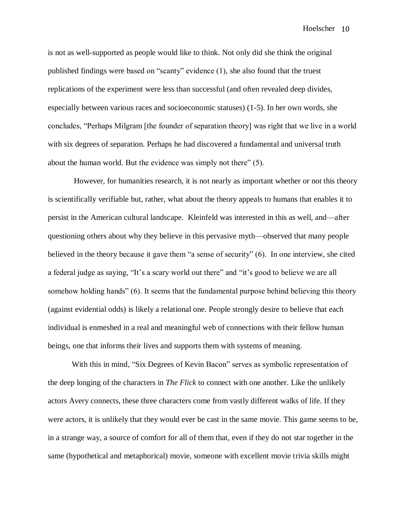is not as well-supported as people would like to think. Not only did she think the original published findings were based on "scanty" evidence (1), she also found that the truest replications of the experiment were less than successful (and often revealed deep divides, especially between various races and socioeconomic statuses) (1-5). In her own words, she concludes, "Perhaps Milgram [the founder of separation theory] was right that we live in a world with six degrees of separation. Perhaps he had discovered a fundamental and universal truth about the human world. But the evidence was simply not there" (5).

However, for humanities research, it is not nearly as important whether or not this theory is scientifically verifiable but, rather, what about the theory appeals to humans that enables it to persist in the American cultural landscape. Kleinfeld was interested in this as well, and—after questioning others about why they believe in this pervasive myth—observed that many people believed in the theory because it gave them "a sense of security" (6). In one interview, she cited a federal judge as saying, "It's a scary world out there" and "it's good to believe we are all somehow holding hands" (6). It seems that the fundamental purpose behind believing this theory (against evidential odds) is likely a relational one. People strongly desire to believe that each individual is enmeshed in a real and meaningful web of connections with their fellow human beings, one that informs their lives and supports them with systems of meaning.

With this in mind, "Six Degrees of Kevin Bacon" serves as symbolic representation of the deep longing of the characters in *The Flick* to connect with one another. Like the unlikely actors Avery connects, these three characters come from vastly different walks of life. If they were actors, it is unlikely that they would ever be cast in the same movie. This game seems to be, in a strange way, a source of comfort for all of them that, even if they do not star together in the same (hypothetical and metaphorical) movie, someone with excellent movie trivia skills might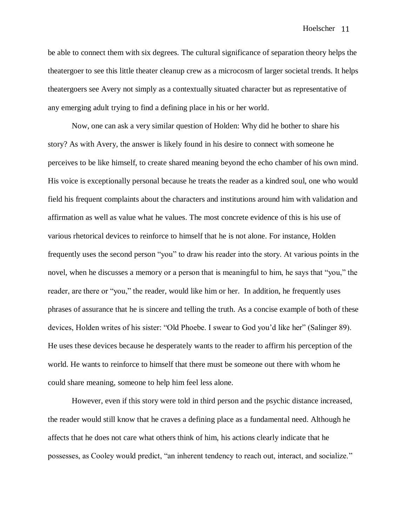be able to connect them with six degrees. The cultural significance of separation theory helps the theatergoer to see this little theater cleanup crew as a microcosm of larger societal trends. It helps theatergoers see Avery not simply as a contextually situated character but as representative of any emerging adult trying to find a defining place in his or her world.

Now, one can ask a very similar question of Holden: Why did he bother to share his story? As with Avery, the answer is likely found in his desire to connect with someone he perceives to be like himself, to create shared meaning beyond the echo chamber of his own mind. His voice is exceptionally personal because he treats the reader as a kindred soul, one who would field his frequent complaints about the characters and institutions around him with validation and affirmation as well as value what he values. The most concrete evidence of this is his use of various rhetorical devices to reinforce to himself that he is not alone. For instance, Holden frequently uses the second person "you" to draw his reader into the story. At various points in the novel, when he discusses a memory or a person that is meaningful to him, he says that "you," the reader, are there or "you," the reader, would like him or her. In addition, he frequently uses phrases of assurance that he is sincere and telling the truth. As a concise example of both of these devices, Holden writes of his sister: "Old Phoebe. I swear to God you'd like her" (Salinger 89). He uses these devices because he desperately wants to the reader to affirm his perception of the world. He wants to reinforce to himself that there must be someone out there with whom he could share meaning, someone to help him feel less alone.

However, even if this story were told in third person and the psychic distance increased, the reader would still know that he craves a defining place as a fundamental need. Although he affects that he does not care what others think of him, his actions clearly indicate that he possesses, as Cooley would predict, "an inherent tendency to reach out, interact, and socialize."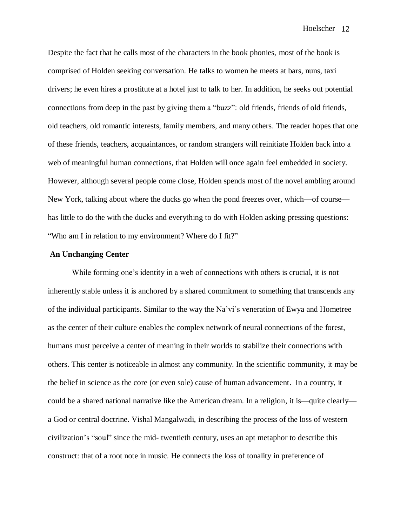Despite the fact that he calls most of the characters in the book phonies, most of the book is comprised of Holden seeking conversation. He talks to women he meets at bars, nuns, taxi drivers; he even hires a prostitute at a hotel just to talk to her. In addition, he seeks out potential connections from deep in the past by giving them a "buzz": old friends, friends of old friends, old teachers, old romantic interests, family members, and many others. The reader hopes that one of these friends, teachers, acquaintances, or random strangers will reinitiate Holden back into a web of meaningful human connections, that Holden will once again feel embedded in society. However, although several people come close, Holden spends most of the novel ambling around New York, talking about where the ducks go when the pond freezes over, which—of course has little to do the with the ducks and everything to do with Holden asking pressing questions: "Who am I in relation to my environment? Where do I fit?"

#### **An Unchanging Center**

While forming one's identity in a web of connections with others is crucial, it is not inherently stable unless it is anchored by a shared commitment to something that transcends any of the individual participants. Similar to the way the Na'vi's veneration of Ewya and Hometree as the center of their culture enables the complex network of neural connections of the forest, humans must perceive a center of meaning in their worlds to stabilize their connections with others. This center is noticeable in almost any community. In the scientific community, it may be the belief in science as the core (or even sole) cause of human advancement. In a country, it could be a shared national narrative like the American dream. In a religion, it is—quite clearly a God or central doctrine. Vishal Mangalwadi, in describing the process of the loss of western civilization's "soul" since the mid- twentieth century, uses an apt metaphor to describe this construct: that of a root note in music. He connects the loss of tonality in preference of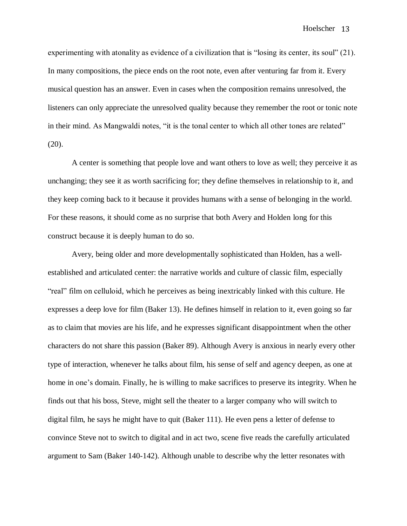experimenting with atonality as evidence of a civilization that is "losing its center, its soul" (21). In many compositions, the piece ends on the root note, even after venturing far from it. Every musical question has an answer. Even in cases when the composition remains unresolved, the listeners can only appreciate the unresolved quality because they remember the root or tonic note in their mind. As Mangwaldi notes, "it is the tonal center to which all other tones are related"  $(20).$ 

A center is something that people love and want others to love as well; they perceive it as unchanging; they see it as worth sacrificing for; they define themselves in relationship to it, and they keep coming back to it because it provides humans with a sense of belonging in the world. For these reasons, it should come as no surprise that both Avery and Holden long for this construct because it is deeply human to do so.

Avery, being older and more developmentally sophisticated than Holden, has a wellestablished and articulated center: the narrative worlds and culture of classic film, especially "real" film on celluloid, which he perceives as being inextricably linked with this culture. He expresses a deep love for film (Baker 13). He defines himself in relation to it, even going so far as to claim that movies are his life, and he expresses significant disappointment when the other characters do not share this passion (Baker 89). Although Avery is anxious in nearly every other type of interaction, whenever he talks about film, his sense of self and agency deepen, as one at home in one's domain. Finally, he is willing to make sacrifices to preserve its integrity. When he finds out that his boss, Steve, might sell the theater to a larger company who will switch to digital film, he says he might have to quit (Baker 111). He even pens a letter of defense to convince Steve not to switch to digital and in act two, scene five reads the carefully articulated argument to Sam (Baker 140-142). Although unable to describe why the letter resonates with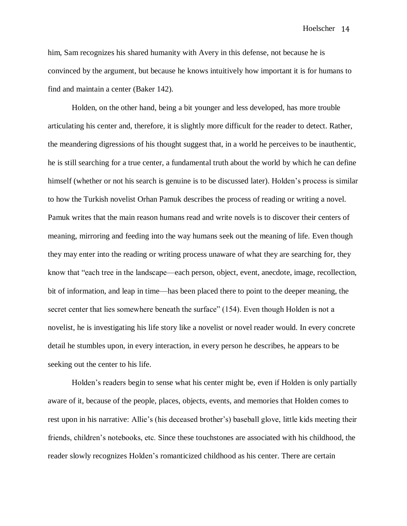him, Sam recognizes his shared humanity with Avery in this defense, not because he is convinced by the argument, but because he knows intuitively how important it is for humans to find and maintain a center (Baker 142).

Holden, on the other hand, being a bit younger and less developed, has more trouble articulating his center and, therefore, it is slightly more difficult for the reader to detect. Rather, the meandering digressions of his thought suggest that, in a world he perceives to be inauthentic, he is still searching for a true center, a fundamental truth about the world by which he can define himself (whether or not his search is genuine is to be discussed later). Holden's process is similar to how the Turkish novelist Orhan Pamuk describes the process of reading or writing a novel. Pamuk writes that the main reason humans read and write novels is to discover their centers of meaning, mirroring and feeding into the way humans seek out the meaning of life. Even though they may enter into the reading or writing process unaware of what they are searching for, they know that "each tree in the landscape—each person, object, event, anecdote, image, recollection, bit of information, and leap in time—has been placed there to point to the deeper meaning, the secret center that lies somewhere beneath the surface" (154). Even though Holden is not a novelist, he is investigating his life story like a novelist or novel reader would. In every concrete detail he stumbles upon, in every interaction, in every person he describes, he appears to be seeking out the center to his life.

Holden's readers begin to sense what his center might be, even if Holden is only partially aware of it, because of the people, places, objects, events, and memories that Holden comes to rest upon in his narrative: Allie's (his deceased brother's) baseball glove, little kids meeting their friends, children's notebooks, etc. Since these touchstones are associated with his childhood, the reader slowly recognizes Holden's romanticized childhood as his center. There are certain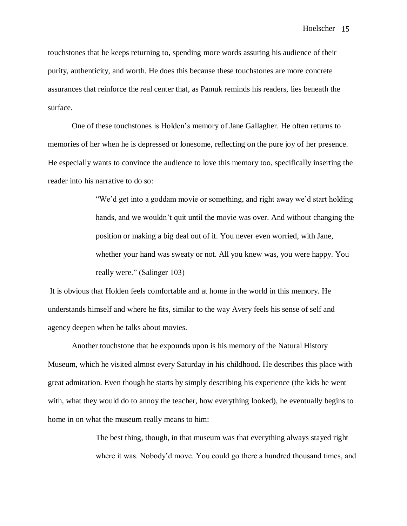touchstones that he keeps returning to, spending more words assuring his audience of their purity, authenticity, and worth. He does this because these touchstones are more concrete assurances that reinforce the real center that, as Pamuk reminds his readers, lies beneath the surface.

One of these touchstones is Holden's memory of Jane Gallagher. He often returns to memories of her when he is depressed or lonesome, reflecting on the pure joy of her presence. He especially wants to convince the audience to love this memory too, specifically inserting the reader into his narrative to do so:

> "We'd get into a goddam movie or something, and right away we'd start holding hands, and we wouldn't quit until the movie was over. And without changing the position or making a big deal out of it. You never even worried, with Jane, whether your hand was sweaty or not. All you knew was, you were happy. You really were." (Salinger 103)

It is obvious that Holden feels comfortable and at home in the world in this memory. He understands himself and where he fits, similar to the way Avery feels his sense of self and agency deepen when he talks about movies.

Another touchstone that he expounds upon is his memory of the Natural History Museum, which he visited almost every Saturday in his childhood. He describes this place with great admiration. Even though he starts by simply describing his experience (the kids he went with, what they would do to annoy the teacher, how everything looked), he eventually begins to home in on what the museum really means to him:

> The best thing, though, in that museum was that everything always stayed right where it was. Nobody'd move. You could go there a hundred thousand times, and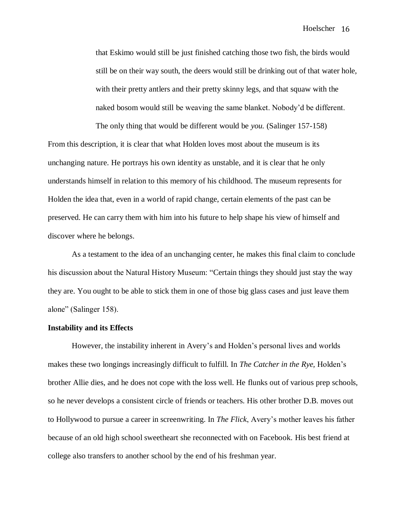that Eskimo would still be just finished catching those two fish, the birds would still be on their way south, the deers would still be drinking out of that water hole, with their pretty antlers and their pretty skinny legs, and that squaw with the naked bosom would still be weaving the same blanket. Nobody'd be different. The only thing that would be different would be *you.* (Salinger 157-158)

From this description, it is clear that what Holden loves most about the museum is its unchanging nature. He portrays his own identity as unstable, and it is clear that he only understands himself in relation to this memory of his childhood. The museum represents for Holden the idea that, even in a world of rapid change, certain elements of the past can be preserved. He can carry them with him into his future to help shape his view of himself and discover where he belongs.

As a testament to the idea of an unchanging center, he makes this final claim to conclude his discussion about the Natural History Museum: "Certain things they should just stay the way they are. You ought to be able to stick them in one of those big glass cases and just leave them alone" (Salinger 158).

#### **Instability and its Effects**

However, the instability inherent in Avery's and Holden's personal lives and worlds makes these two longings increasingly difficult to fulfill. In *The Catcher in the Rye,* Holden's brother Allie dies, and he does not cope with the loss well. He flunks out of various prep schools, so he never develops a consistent circle of friends or teachers. His other brother D.B. moves out to Hollywood to pursue a career in screenwriting. In *The Flick*, Avery's mother leaves his father because of an old high school sweetheart she reconnected with on Facebook. His best friend at college also transfers to another school by the end of his freshman year.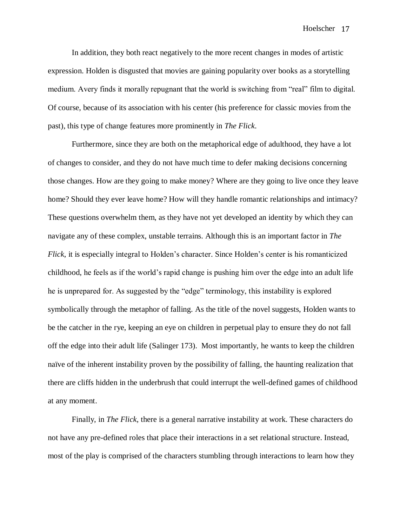In addition, they both react negatively to the more recent changes in modes of artistic expression. Holden is disgusted that movies are gaining popularity over books as a storytelling medium. Avery finds it morally repugnant that the world is switching from "real" film to digital. Of course, because of its association with his center (his preference for classic movies from the past), this type of change features more prominently in *The Flick*.

Furthermore, since they are both on the metaphorical edge of adulthood, they have a lot of changes to consider, and they do not have much time to defer making decisions concerning those changes. How are they going to make money? Where are they going to live once they leave home? Should they ever leave home? How will they handle romantic relationships and intimacy? These questions overwhelm them, as they have not yet developed an identity by which they can navigate any of these complex, unstable terrains. Although this is an important factor in *The Flick*, it is especially integral to Holden's character. Since Holden's center is his romanticized childhood, he feels as if the world's rapid change is pushing him over the edge into an adult life he is unprepared for. As suggested by the "edge" terminology, this instability is explored symbolically through the metaphor of falling. As the title of the novel suggests, Holden wants to be the catcher in the rye, keeping an eye on children in perpetual play to ensure they do not fall off the edge into their adult life (Salinger 173). Most importantly, he wants to keep the children naïve of the inherent instability proven by the possibility of falling, the haunting realization that there are cliffs hidden in the underbrush that could interrupt the well-defined games of childhood at any moment.

Finally, in *The Flick*, there is a general narrative instability at work. These characters do not have any pre-defined roles that place their interactions in a set relational structure. Instead, most of the play is comprised of the characters stumbling through interactions to learn how they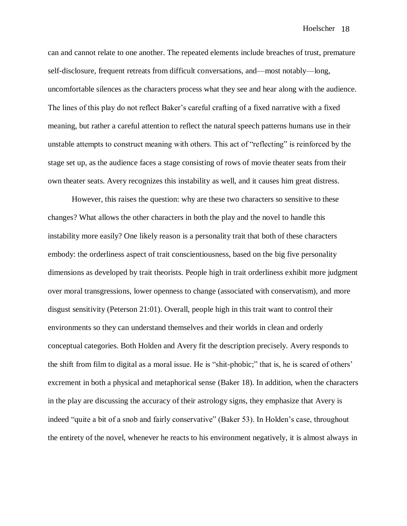can and cannot relate to one another. The repeated elements include breaches of trust, premature self-disclosure, frequent retreats from difficult conversations, and—most notably—long, uncomfortable silences as the characters process what they see and hear along with the audience. The lines of this play do not reflect Baker's careful crafting of a fixed narrative with a fixed meaning, but rather a careful attention to reflect the natural speech patterns humans use in their unstable attempts to construct meaning with others. This act of "reflecting" is reinforced by the stage set up, as the audience faces a stage consisting of rows of movie theater seats from their own theater seats. Avery recognizes this instability as well, and it causes him great distress.

However, this raises the question: why are these two characters so sensitive to these changes? What allows the other characters in both the play and the novel to handle this instability more easily? One likely reason is a personality trait that both of these characters embody: the orderliness aspect of trait conscientiousness, based on the big five personality dimensions as developed by trait theorists. People high in trait orderliness exhibit more judgment over moral transgressions, lower openness to change (associated with conservatism), and more disgust sensitivity (Peterson 21:01). Overall, people high in this trait want to control their environments so they can understand themselves and their worlds in clean and orderly conceptual categories. Both Holden and Avery fit the description precisely. Avery responds to the shift from film to digital as a moral issue. He is "shit-phobic;" that is, he is scared of others' excrement in both a physical and metaphorical sense (Baker 18). In addition, when the characters in the play are discussing the accuracy of their astrology signs, they emphasize that Avery is indeed "quite a bit of a snob and fairly conservative" (Baker 53). In Holden's case, throughout the entirety of the novel, whenever he reacts to his environment negatively, it is almost always in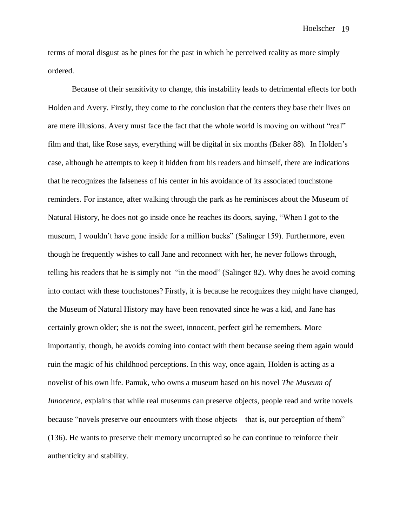terms of moral disgust as he pines for the past in which he perceived reality as more simply ordered.

Because of their sensitivity to change, this instability leads to detrimental effects for both Holden and Avery. Firstly, they come to the conclusion that the centers they base their lives on are mere illusions. Avery must face the fact that the whole world is moving on without "real" film and that, like Rose says, everything will be digital in six months (Baker 88). In Holden's case, although he attempts to keep it hidden from his readers and himself, there are indications that he recognizes the falseness of his center in his avoidance of its associated touchstone reminders. For instance, after walking through the park as he reminisces about the Museum of Natural History, he does not go inside once he reaches its doors, saying, "When I got to the museum, I wouldn't have gone inside for a million bucks" (Salinger 159). Furthermore, even though he frequently wishes to call Jane and reconnect with her, he never follows through, telling his readers that he is simply not "in the mood" (Salinger 82). Why does he avoid coming into contact with these touchstones? Firstly, it is because he recognizes they might have changed, the Museum of Natural History may have been renovated since he was a kid, and Jane has certainly grown older; she is not the sweet, innocent, perfect girl he remembers. More importantly, though, he avoids coming into contact with them because seeing them again would ruin the magic of his childhood perceptions. In this way, once again, Holden is acting as a novelist of his own life. Pamuk, who owns a museum based on his novel *The Museum of Innocence*, explains that while real museums can preserve objects, people read and write novels because "novels preserve our encounters with those objects—that is, our perception of them" (136). He wants to preserve their memory uncorrupted so he can continue to reinforce their authenticity and stability.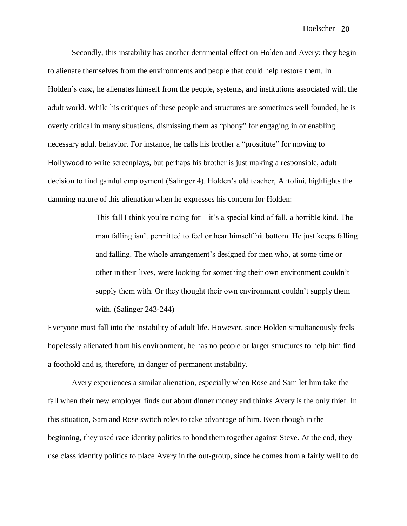Secondly, this instability has another detrimental effect on Holden and Avery: they begin to alienate themselves from the environments and people that could help restore them. In Holden's case, he alienates himself from the people, systems, and institutions associated with the adult world. While his critiques of these people and structures are sometimes well founded, he is overly critical in many situations, dismissing them as "phony" for engaging in or enabling necessary adult behavior. For instance, he calls his brother a "prostitute" for moving to Hollywood to write screenplays, but perhaps his brother is just making a responsible, adult decision to find gainful employment (Salinger 4). Holden's old teacher, Antolini, highlights the damning nature of this alienation when he expresses his concern for Holden:

> This fall I think you're riding for—it's a special kind of fall, a horrible kind. The man falling isn't permitted to feel or hear himself hit bottom. He just keeps falling and falling. The whole arrangement's designed for men who, at some time or other in their lives, were looking for something their own environment couldn't supply them with. Or they thought their own environment couldn't supply them with. (Salinger 243-244)

Everyone must fall into the instability of adult life. However, since Holden simultaneously feels hopelessly alienated from his environment, he has no people or larger structures to help him find a foothold and is, therefore, in danger of permanent instability.

Avery experiences a similar alienation, especially when Rose and Sam let him take the fall when their new employer finds out about dinner money and thinks Avery is the only thief. In this situation, Sam and Rose switch roles to take advantage of him. Even though in the beginning, they used race identity politics to bond them together against Steve. At the end, they use class identity politics to place Avery in the out-group, since he comes from a fairly well to do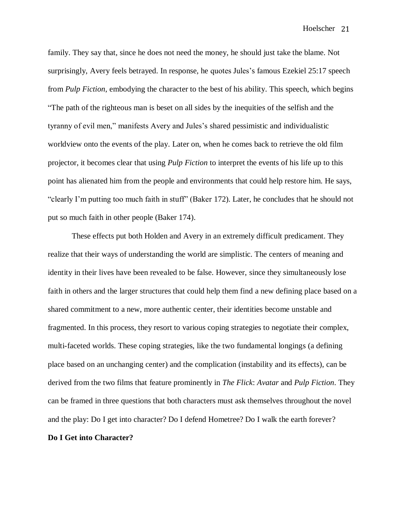family. They say that, since he does not need the money, he should just take the blame. Not surprisingly, Avery feels betrayed. In response, he quotes Jules's famous Ezekiel 25:17 speech from *Pulp Fiction*, embodying the character to the best of his ability. This speech, which begins "The path of the righteous man is beset on all sides by the inequities of the selfish and the tyranny of evil men," manifests Avery and Jules's shared pessimistic and individualistic worldview onto the events of the play. Later on, when he comes back to retrieve the old film projector, it becomes clear that using *Pulp Fiction* to interpret the events of his life up to this point has alienated him from the people and environments that could help restore him. He says, "clearly I'm putting too much faith in stuff" (Baker 172). Later, he concludes that he should not put so much faith in other people (Baker 174).

These effects put both Holden and Avery in an extremely difficult predicament. They realize that their ways of understanding the world are simplistic. The centers of meaning and identity in their lives have been revealed to be false. However, since they simultaneously lose faith in others and the larger structures that could help them find a new defining place based on a shared commitment to a new, more authentic center, their identities become unstable and fragmented. In this process, they resort to various coping strategies to negotiate their complex, multi-faceted worlds. These coping strategies, like the two fundamental longings (a defining place based on an unchanging center) and the complication (instability and its effects), can be derived from the two films that feature prominently in *The Flick*: *Avatar* and *Pulp Fiction*. They can be framed in three questions that both characters must ask themselves throughout the novel and the play: Do I get into character? Do I defend Hometree? Do I walk the earth forever? **Do I Get into Character?**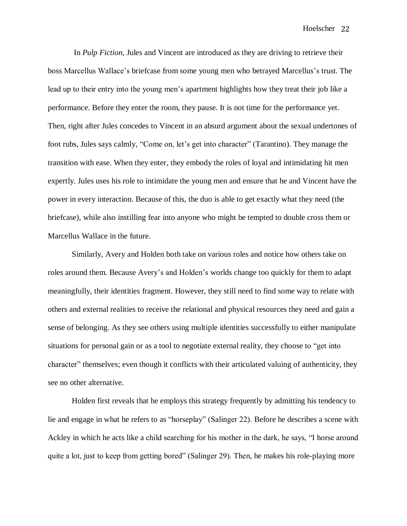In *Pulp Fiction,* Jules and Vincent are introduced as they are driving to retrieve their boss Marcellus Wallace's briefcase from some young men who betrayed Marcellus's trust. The lead up to their entry into the young men's apartment highlights how they treat their job like a performance. Before they enter the room, they pause. It is not time for the performance yet. Then, right after Jules concedes to Vincent in an absurd argument about the sexual undertones of foot rubs, Jules says calmly, "Come on, let's get into character" (Tarantino). They manage the transition with ease. When they enter, they embody the roles of loyal and intimidating hit men expertly. Jules uses his role to intimidate the young men and ensure that he and Vincent have the power in every interaction. Because of this, the duo is able to get exactly what they need (the briefcase), while also instilling fear into anyone who might be tempted to double cross them or Marcellus Wallace in the future.

Similarly, Avery and Holden both take on various roles and notice how others take on roles around them. Because Avery's and Holden's worlds change too quickly for them to adapt meaningfully, their identities fragment. However, they still need to find some way to relate with others and external realities to receive the relational and physical resources they need and gain a sense of belonging. As they see others using multiple identities successfully to either manipulate situations for personal gain or as a tool to negotiate external reality, they choose to "get into character" themselves; even though it conflicts with their articulated valuing of authenticity, they see no other alternative.

Holden first reveals that he employs this strategy frequently by admitting his tendency to lie and engage in what he refers to as "horseplay" (Salinger 22). Before he describes a scene with Ackley in which he acts like a child searching for his mother in the dark, he says, "I horse around quite a lot, just to keep from getting bored" (Salinger 29). Then, he makes his role-playing more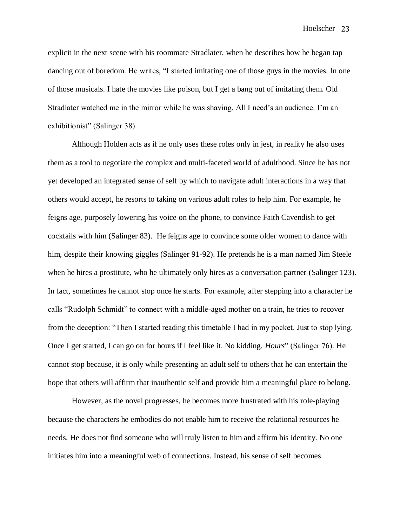explicit in the next scene with his roommate Stradlater, when he describes how he began tap dancing out of boredom. He writes, "I started imitating one of those guys in the movies. In one of those musicals. I hate the movies like poison, but I get a bang out of imitating them. Old Stradlater watched me in the mirror while he was shaving. All I need's an audience. I'm an exhibitionist" (Salinger 38).

Although Holden acts as if he only uses these roles only in jest, in reality he also uses them as a tool to negotiate the complex and multi-faceted world of adulthood. Since he has not yet developed an integrated sense of self by which to navigate adult interactions in a way that others would accept, he resorts to taking on various adult roles to help him. For example, he feigns age, purposely lowering his voice on the phone, to convince Faith Cavendish to get cocktails with him (Salinger 83). He feigns age to convince some older women to dance with him, despite their knowing giggles (Salinger 91-92). He pretends he is a man named Jim Steele when he hires a prostitute, who he ultimately only hires as a conversation partner (Salinger 123). In fact, sometimes he cannot stop once he starts. For example, after stepping into a character he calls "Rudolph Schmidt" to connect with a middle-aged mother on a train, he tries to recover from the deception: "Then I started reading this timetable I had in my pocket. Just to stop lying. Once I get started, I can go on for hours if I feel like it. No kidding. *Hours*" (Salinger 76). He cannot stop because, it is only while presenting an adult self to others that he can entertain the hope that others will affirm that inauthentic self and provide him a meaningful place to belong.

However, as the novel progresses, he becomes more frustrated with his role-playing because the characters he embodies do not enable him to receive the relational resources he needs. He does not find someone who will truly listen to him and affirm his identity. No one initiates him into a meaningful web of connections. Instead, his sense of self becomes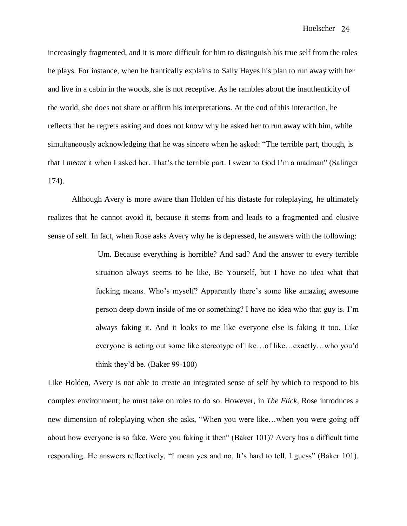increasingly fragmented, and it is more difficult for him to distinguish his true self from the roles he plays. For instance, when he frantically explains to Sally Hayes his plan to run away with her and live in a cabin in the woods, she is not receptive. As he rambles about the inauthenticity of the world, she does not share or affirm his interpretations. At the end of this interaction, he reflects that he regrets asking and does not know why he asked her to run away with him, while simultaneously acknowledging that he was sincere when he asked: "The terrible part, though, is that I *meant* it when I asked her. That's the terrible part. I swear to God I'm a madman" (Salinger 174).

Although Avery is more aware than Holden of his distaste for roleplaying, he ultimately realizes that he cannot avoid it, because it stems from and leads to a fragmented and elusive sense of self. In fact, when Rose asks Avery why he is depressed, he answers with the following:

> Um. Because everything is horrible? And sad? And the answer to every terrible situation always seems to be like, Be Yourself, but I have no idea what that fucking means. Who's myself? Apparently there's some like amazing awesome person deep down inside of me or something? I have no idea who that guy is. I'm always faking it. And it looks to me like everyone else is faking it too. Like everyone is acting out some like stereotype of like…of like…exactly…who you'd think they'd be. (Baker 99-100)

Like Holden, Avery is not able to create an integrated sense of self by which to respond to his complex environment; he must take on roles to do so. However, in *The Flick*, Rose introduces a new dimension of roleplaying when she asks, "When you were like…when you were going off about how everyone is so fake. Were you faking it then" (Baker 101)? Avery has a difficult time responding. He answers reflectively, "I mean yes and no. It's hard to tell, I guess" (Baker 101).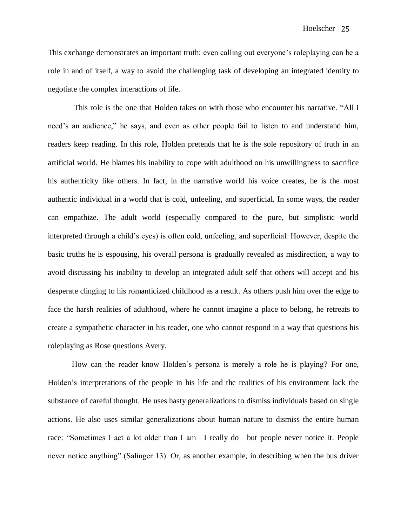This exchange demonstrates an important truth: even calling out everyone's roleplaying can be a role in and of itself, a way to avoid the challenging task of developing an integrated identity to negotiate the complex interactions of life.

This role is the one that Holden takes on with those who encounter his narrative. "All I need's an audience," he says, and even as other people fail to listen to and understand him, readers keep reading. In this role, Holden pretends that he is the sole repository of truth in an artificial world. He blames his inability to cope with adulthood on his unwillingness to sacrifice his authenticity like others. In fact, in the narrative world his voice creates, he is the most authentic individual in a world that is cold, unfeeling, and superficial. In some ways, the reader can empathize. The adult world (especially compared to the pure, but simplistic world interpreted through a child's eyes) is often cold, unfeeling, and superficial. However, despite the basic truths he is espousing, his overall persona is gradually revealed as misdirection, a way to avoid discussing his inability to develop an integrated adult self that others will accept and his desperate clinging to his romanticized childhood as a result. As others push him over the edge to face the harsh realities of adulthood, where he cannot imagine a place to belong, he retreats to create a sympathetic character in his reader, one who cannot respond in a way that questions his roleplaying as Rose questions Avery.

How can the reader know Holden's persona is merely a role he is playing? For one, Holden's interpretations of the people in his life and the realities of his environment lack the substance of careful thought. He uses hasty generalizations to dismiss individuals based on single actions. He also uses similar generalizations about human nature to dismiss the entire human race: "Sometimes I act a lot older than I am—I really do—but people never notice it. People never notice anything" (Salinger 13). Or, as another example, in describing when the bus driver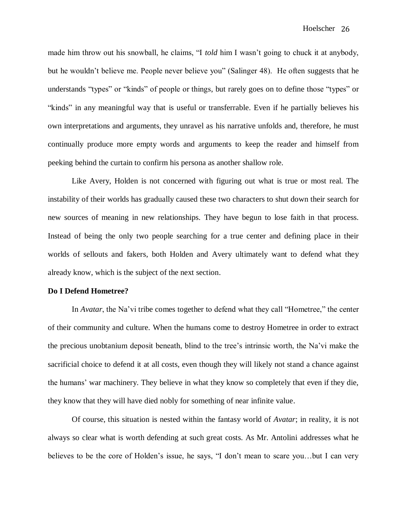made him throw out his snowball, he claims, "I *told* him I wasn't going to chuck it at anybody, but he wouldn't believe me. People never believe you" (Salinger 48). He often suggests that he understands "types" or "kinds" of people or things, but rarely goes on to define those "types" or "kinds" in any meaningful way that is useful or transferrable. Even if he partially believes his own interpretations and arguments, they unravel as his narrative unfolds and, therefore, he must continually produce more empty words and arguments to keep the reader and himself from peeking behind the curtain to confirm his persona as another shallow role.

Like Avery, Holden is not concerned with figuring out what is true or most real. The instability of their worlds has gradually caused these two characters to shut down their search for new sources of meaning in new relationships. They have begun to lose faith in that process. Instead of being the only two people searching for a true center and defining place in their worlds of sellouts and fakers, both Holden and Avery ultimately want to defend what they already know, which is the subject of the next section.

#### **Do I Defend Hometree?**

In *Avatar*, the Na'vi tribe comes together to defend what they call "Hometree," the center of their community and culture. When the humans come to destroy Hometree in order to extract the precious unobtanium deposit beneath, blind to the tree's intrinsic worth, the Na'vi make the sacrificial choice to defend it at all costs, even though they will likely not stand a chance against the humans' war machinery. They believe in what they know so completely that even if they die, they know that they will have died nobly for something of near infinite value.

Of course, this situation is nested within the fantasy world of *Avatar*; in reality, it is not always so clear what is worth defending at such great costs. As Mr. Antolini addresses what he believes to be the core of Holden's issue, he says, "I don't mean to scare you…but I can very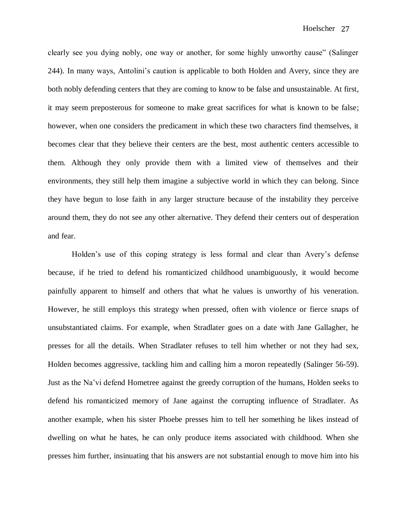clearly see you dying nobly, one way or another, for some highly unworthy cause" (Salinger 244). In many ways, Antolini's caution is applicable to both Holden and Avery, since they are both nobly defending centers that they are coming to know to be false and unsustainable. At first, it may seem preposterous for someone to make great sacrifices for what is known to be false; however, when one considers the predicament in which these two characters find themselves, it becomes clear that they believe their centers are the best, most authentic centers accessible to them. Although they only provide them with a limited view of themselves and their environments, they still help them imagine a subjective world in which they can belong. Since they have begun to lose faith in any larger structure because of the instability they perceive around them, they do not see any other alternative. They defend their centers out of desperation and fear.

Holden's use of this coping strategy is less formal and clear than Avery's defense because, if he tried to defend his romanticized childhood unambiguously, it would become painfully apparent to himself and others that what he values is unworthy of his veneration. However, he still employs this strategy when pressed, often with violence or fierce snaps of unsubstantiated claims. For example, when Stradlater goes on a date with Jane Gallagher, he presses for all the details. When Stradlater refuses to tell him whether or not they had sex, Holden becomes aggressive, tackling him and calling him a moron repeatedly (Salinger 56-59). Just as the Na'vi defend Hometree against the greedy corruption of the humans, Holden seeks to defend his romanticized memory of Jane against the corrupting influence of Stradlater. As another example, when his sister Phoebe presses him to tell her something he likes instead of dwelling on what he hates, he can only produce items associated with childhood. When she presses him further, insinuating that his answers are not substantial enough to move him into his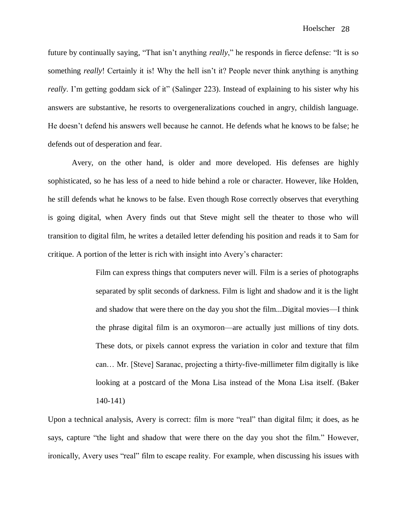future by continually saying, "That isn't anything *really*," he responds in fierce defense: "It is so something *really*! Certainly it is! Why the hell isn't it? People never think anything is anything *really*. I'm getting goddam sick of it" (Salinger 223). Instead of explaining to his sister why his answers are substantive, he resorts to overgeneralizations couched in angry, childish language. He doesn't defend his answers well because he cannot. He defends what he knows to be false; he defends out of desperation and fear.

Avery, on the other hand, is older and more developed. His defenses are highly sophisticated, so he has less of a need to hide behind a role or character. However, like Holden, he still defends what he knows to be false. Even though Rose correctly observes that everything is going digital, when Avery finds out that Steve might sell the theater to those who will transition to digital film, he writes a detailed letter defending his position and reads it to Sam for critique. A portion of the letter is rich with insight into Avery's character:

> Film can express things that computers never will. Film is a series of photographs separated by split seconds of darkness. Film is light and shadow and it is the light and shadow that were there on the day you shot the film...Digital movies—I think the phrase digital film is an oxymoron—are actually just millions of tiny dots. These dots, or pixels cannot express the variation in color and texture that film can… Mr. [Steve] Saranac, projecting a thirty-five-millimeter film digitally is like looking at a postcard of the Mona Lisa instead of the Mona Lisa itself. (Baker 140-141)

Upon a technical analysis, Avery is correct: film is more "real" than digital film; it does, as he says, capture "the light and shadow that were there on the day you shot the film." However, ironically, Avery uses "real" film to escape reality. For example, when discussing his issues with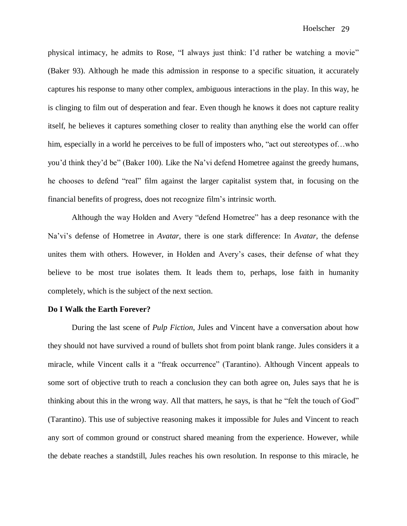physical intimacy, he admits to Rose, "I always just think: I'd rather be watching a movie" (Baker 93). Although he made this admission in response to a specific situation, it accurately captures his response to many other complex, ambiguous interactions in the play. In this way, he is clinging to film out of desperation and fear. Even though he knows it does not capture reality itself, he believes it captures something closer to reality than anything else the world can offer him, especially in a world he perceives to be full of imposters who, "act out stereotypes of...who you'd think they'd be" (Baker 100). Like the Na'vi defend Hometree against the greedy humans, he chooses to defend "real" film against the larger capitalist system that, in focusing on the financial benefits of progress, does not recognize film's intrinsic worth.

Although the way Holden and Avery "defend Hometree" has a deep resonance with the Na'vi's defense of Hometree in *Avatar*, there is one stark difference: In *Avatar,* the defense unites them with others. However, in Holden and Avery's cases, their defense of what they believe to be most true isolates them. It leads them to, perhaps, lose faith in humanity completely, which is the subject of the next section.

#### **Do I Walk the Earth Forever?**

During the last scene of *Pulp Fiction*, Jules and Vincent have a conversation about how they should not have survived a round of bullets shot from point blank range. Jules considers it a miracle, while Vincent calls it a "freak occurrence" (Tarantino). Although Vincent appeals to some sort of objective truth to reach a conclusion they can both agree on, Jules says that he is thinking about this in the wrong way. All that matters, he says, is that he "felt the touch of God" (Tarantino). This use of subjective reasoning makes it impossible for Jules and Vincent to reach any sort of common ground or construct shared meaning from the experience. However, while the debate reaches a standstill, Jules reaches his own resolution. In response to this miracle, he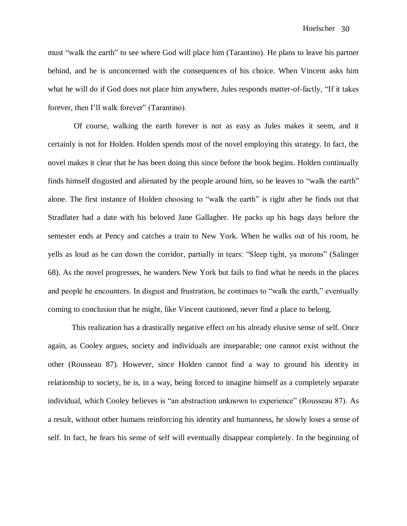must "walk the earth" to see where God will place him (Tarantino). He plans to leave his partner behind, and he is unconcerned with the consequences of his choice. When Vincent asks him what he will do if God does not place him anywhere, Jules responds matter-of-factly, "If it takes forever, then I'll walk forever" (Tarantino).

Of course, walking the earth forever is not as easy as Jules makes it seem, and it certainly is not for Holden. Holden spends most of the novel employing this strategy. In fact, the novel makes it clear that he has been doing this since before the book begins. Holden continually finds himself disgusted and alienated by the people around him, so he leaves to "walk the earth" alone. The first instance of Holden choosing to "walk the earth" is right after he finds out that Stradlater had a date with his beloved Jane Gallagher. He packs up his bags days before the semester ends at Pency and catches a train to New York. When he walks out of his room, he yells as loud as he can down the corridor, partially in tears: "Sleep tight, ya morons" (Salinger 68). As the novel progresses, he wanders New York but fails to find what he needs in the places and people he encounters. In disgust and frustration, he continues to "walk the earth," eventually coming to conclusion that he might, like Vincent cautioned, never find a place to belong.

This realization has a drastically negative effect on his already elusive sense of self. Once again, as Cooley argues, society and individuals are inseparable; one cannot exist without the other (Rousseau 87). However, since Holden cannot find a way to ground his identity in relationship to society, he is, in a way, being forced to imagine himself as a completely separate individual, which Cooley believes is "an abstraction unknown to experience" (Rousseau 87). As a result, without other humans reinforcing his identity and humanness, he slowly loses a sense of self. In fact, he fears his sense of self will eventually disappear completely. In the beginning of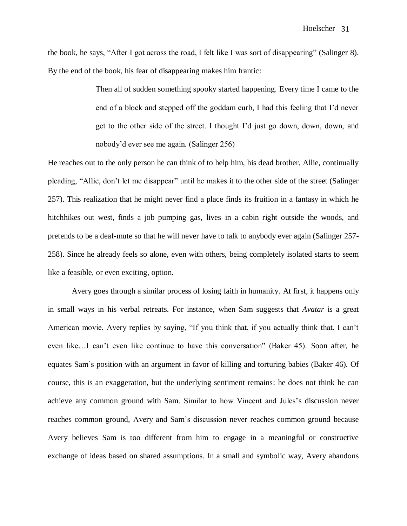the book, he says, "After I got across the road, I felt like I was sort of disappearing" (Salinger 8). By the end of the book, his fear of disappearing makes him frantic:

> Then all of sudden something spooky started happening. Every time I came to the end of a block and stepped off the goddam curb, I had this feeling that I'd never get to the other side of the street. I thought I'd just go down, down, down, and nobody'd ever see me again. (Salinger 256)

He reaches out to the only person he can think of to help him, his dead brother, Allie, continually pleading, "Allie, don't let me disappear" until he makes it to the other side of the street (Salinger 257). This realization that he might never find a place finds its fruition in a fantasy in which he hitchhikes out west, finds a job pumping gas, lives in a cabin right outside the woods, and pretends to be a deaf-mute so that he will never have to talk to anybody ever again (Salinger 257- 258). Since he already feels so alone, even with others, being completely isolated starts to seem like a feasible, or even exciting, option.

Avery goes through a similar process of losing faith in humanity. At first, it happens only in small ways in his verbal retreats. For instance, when Sam suggests that *Avatar* is a great American movie, Avery replies by saying, "If you think that, if you actually think that, I can't even like…I can't even like continue to have this conversation" (Baker 45). Soon after, he equates Sam's position with an argument in favor of killing and torturing babies (Baker 46). Of course, this is an exaggeration, but the underlying sentiment remains: he does not think he can achieve any common ground with Sam. Similar to how Vincent and Jules's discussion never reaches common ground, Avery and Sam's discussion never reaches common ground because Avery believes Sam is too different from him to engage in a meaningful or constructive exchange of ideas based on shared assumptions. In a small and symbolic way, Avery abandons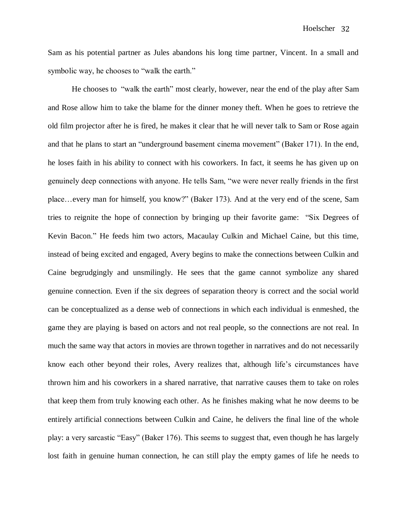Sam as his potential partner as Jules abandons his long time partner, Vincent. In a small and symbolic way, he chooses to "walk the earth."

He chooses to "walk the earth" most clearly, however, near the end of the play after Sam and Rose allow him to take the blame for the dinner money theft. When he goes to retrieve the old film projector after he is fired, he makes it clear that he will never talk to Sam or Rose again and that he plans to start an "underground basement cinema movement" (Baker 171). In the end, he loses faith in his ability to connect with his coworkers. In fact, it seems he has given up on genuinely deep connections with anyone. He tells Sam, "we were never really friends in the first place…every man for himself, you know?" (Baker 173). And at the very end of the scene, Sam tries to reignite the hope of connection by bringing up their favorite game: "Six Degrees of Kevin Bacon." He feeds him two actors, Macaulay Culkin and Michael Caine, but this time, instead of being excited and engaged, Avery begins to make the connections between Culkin and Caine begrudgingly and unsmilingly. He sees that the game cannot symbolize any shared genuine connection. Even if the six degrees of separation theory is correct and the social world can be conceptualized as a dense web of connections in which each individual is enmeshed, the game they are playing is based on actors and not real people, so the connections are not real. In much the same way that actors in movies are thrown together in narratives and do not necessarily know each other beyond their roles, Avery realizes that, although life's circumstances have thrown him and his coworkers in a shared narrative, that narrative causes them to take on roles that keep them from truly knowing each other. As he finishes making what he now deems to be entirely artificial connections between Culkin and Caine, he delivers the final line of the whole play: a very sarcastic "Easy" (Baker 176). This seems to suggest that, even though he has largely lost faith in genuine human connection, he can still play the empty games of life he needs to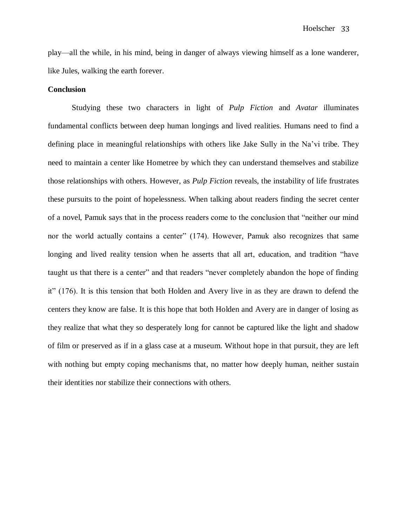play—all the while, in his mind, being in danger of always viewing himself as a lone wanderer, like Jules, walking the earth forever.

#### **Conclusion**

Studying these two characters in light of *Pulp Fiction* and *Avatar* illuminates fundamental conflicts between deep human longings and lived realities. Humans need to find a defining place in meaningful relationships with others like Jake Sully in the Na'vi tribe. They need to maintain a center like Hometree by which they can understand themselves and stabilize those relationships with others. However, as *Pulp Fiction* reveals, the instability of life frustrates these pursuits to the point of hopelessness. When talking about readers finding the secret center of a novel, Pamuk says that in the process readers come to the conclusion that "neither our mind nor the world actually contains a center" (174). However, Pamuk also recognizes that same longing and lived reality tension when he asserts that all art, education, and tradition "have taught us that there is a center" and that readers "never completely abandon the hope of finding it" (176). It is this tension that both Holden and Avery live in as they are drawn to defend the centers they know are false. It is this hope that both Holden and Avery are in danger of losing as they realize that what they so desperately long for cannot be captured like the light and shadow of film or preserved as if in a glass case at a museum. Without hope in that pursuit, they are left with nothing but empty coping mechanisms that, no matter how deeply human, neither sustain their identities nor stabilize their connections with others.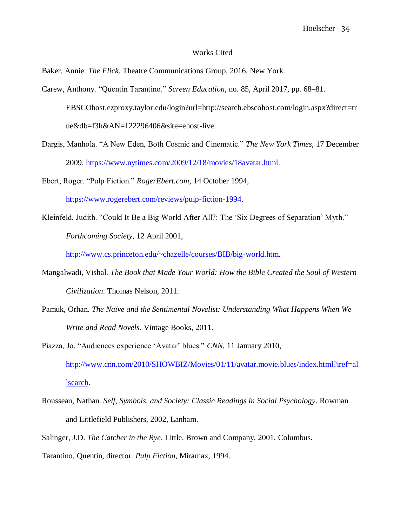#### Works Cited

Baker, Annie. *The Flick*. Theatre Communications Group, 2016, New York.

- Carew, Anthony. "Quentin Tarantino." *Screen Education*, no. 85, April 2017, pp. 68–81. EBSCOhost,ezproxy.taylor.edu/login?url=http://search.ebscohost.com/login.aspx?direct=tr ue&db=f3h&AN=122296406&site=ehost-live.
- Dargis, Manhola. "A New Eden, Both Cosmic and Cinematic." *The New York Times*, 17 December 2009, [https://www.nytimes.com/2009/12/18/movies/18avatar.html.](https://www.nytimes.com/2009/12/18/movies/18avatar.html)
- Ebert, Roger. "Pulp Fiction." *RogerEbert.com*, 14 October 1994, [https://www.rogerebert.com/reviews/pulp-fiction-1994.](https://www.rogerebert.com/reviews/pulp-fiction-1994)
- Kleinfeld, Judith. "Could It Be a Big World After All?: The 'Six Degrees of Separation' Myth." *Forthcoming Society*, 12 April 2001,

[http://www.cs.princeton.edu/~chazelle/courses/BIB/big-world.htm.](http://www.cs.princeton.edu/~chazelle/courses/BIB/big-world.htm)

- Mangalwadi, Vishal. *The Book that Made Your World: How the Bible Created the Soul of Western Civilization*. Thomas Nelson, 2011.
- Pamuk, Orhan. *The Naïve and the Sentimental Novelist: Understanding What Happens When We Write and Read Novels*. Vintage Books, 2011.
- Piazza, Jo. "Audiences experience 'Avatar' blues." *CNN,* 11 January 2010, [http://www.cnn.com/2010/SHOWBIZ/Movies/01/11/avatar.movie.blues/index.html?iref=al](http://www.cnn.com/2010/SHOWBIZ/Movies/01/11/avatar.movie.blues/index.html?iref=allsearch) [lsearch.](http://www.cnn.com/2010/SHOWBIZ/Movies/01/11/avatar.movie.blues/index.html?iref=allsearch)
- Rousseau, Nathan. *Self, Symbols, and Society: Classic Readings in Social Psychology*. Rowman and Littlefield Publishers, 2002, Lanham.
- Salinger, J.D. *The Catcher in the Rye*. Little, Brown and Company, 2001, Columbus.
- Tarantino, Quentin, director. *Pulp Fiction*, Miramax, 1994.